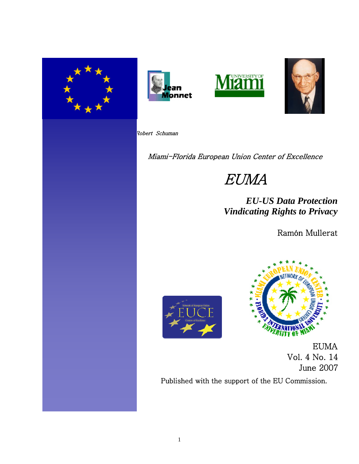







Robert Schuman

. .

Miami-Florida European Union Center of Excellence

# EUMA

 *EU-US Data Protection Vindicating Rights to Privacy*

Ramón Mullerat





EUMA Vol. 4 No. 14 June 2007

Published with the support of the EU Commission.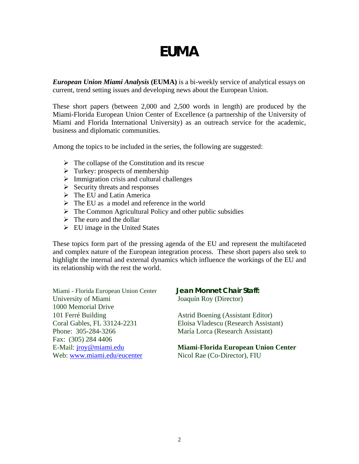# **EUMA**

*European Union Miami Analysis* **(EUMA)** is a bi-weekly service of analytical essays on current, trend setting issues and developing news about the European Union.

These short papers (between 2,000 and 2,500 words in length) are produced by the Miami-Florida European Union Center of Excellence (a partnership of the University of Miami and Florida International University) as an outreach service for the academic, business and diplomatic communities.

Among the topics to be included in the series, the following are suggested:

- $\triangleright$  The collapse of the Constitution and its rescue
- $\triangleright$  Turkey: prospects of membership
- $\triangleright$  Immigration crisis and cultural challenges
- $\triangleright$  Security threats and responses
- $\triangleright$  The EU and Latin America
- $\triangleright$  The EU as a model and reference in the world
- $\triangleright$  The Common Agricultural Policy and other public subsidies
- $\triangleright$  The euro and the dollar
- $\triangleright$  EU image in the United States

These topics form part of the pressing agenda of the EU and represent the multifaceted and complex nature of the European integration process. These short papers also seek to highlight the internal and external dynamics which influence the workings of the EU and its relationship with the rest the world.

Miami - Florida European Union Center **Jean Monnet Chair Staff:** University of Miami Joaquín Roy (Director) 1000 Memorial Drive 101 Ferré Building **Astrid Boening (Assistant Editor)** Phone: 305-284-3266 María Lorca (Research Assistant) Fax: (305) 284 4406 Web: [www.miami.edu/eucenter](http://www.miami.edu/eucenter) Nicol Rae (Co-Director), FIU

Coral Gables, FL 33124-2231 Eloisa Vladescu (Research Assistant)

# E-Mail: [jroy@miami.edu](mailto:jroy@miami.edu) **Miami-Florida European Union Center**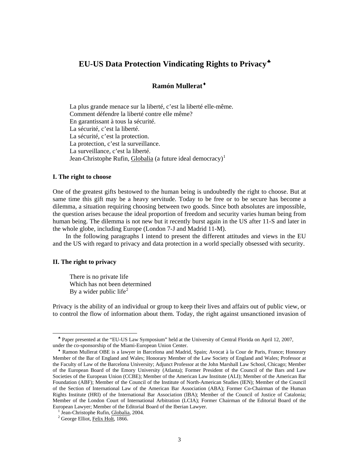# **EU-US Data Protection Vindicating Rights to Privacy**[♣](#page-2-0)

# **Ramón Mullerat**[♦](#page-2-1)

La plus grande menace sur la liberté, c'est la liberté elle-même. Comment défendre la liberté contre elle même? En garantissant à tous la sécurité. La sécurité, c'est la liberté. La sécurité, c'est la protection. La protection, c'est la surveillance. La surveillance, c'est la liberté. Jean-Christophe Rufin, Globalia (a future ideal democracy)<sup>[1](#page-2-2)</sup>

# **I. The right to choose**

One of the greatest gifts bestowed to the human being is undoubtedly the right to choose. But at same time this gift may be a heavy servitude. Today to be free or to be secure has become a dilemma, a situation requiring choosing between two goods. Since both absolutes are impossible, the question arises because the ideal proportion of freedom and security varies human being from human being. The dilemma is not new but it recently burst again in the US after 11-S and later in the whole globe, including Europe (London 7-J and Madrid 11-M).

 In the following paragraphs I intend to present the different attitudes and views in the EU and the US with regard to privacy and data protection in a world specially obsessed with security.

#### **II. The right to privacy**

 $\overline{a}$ 

There is no private life Which has not been determined By a wider public life<sup>[2](#page-2-3)</sup>

Privacy is the ability of an individual or group to keep their lives and affairs out of public view, or to control the flow of information about them. Today, the right against unsanctioned [invasion of](http://en.wikipedia.org/wiki/Invasion_of_privacy) 

<span id="page-2-0"></span>♣ Paper presented at the "EU-US Law Symposium" held at the University of Central Florida on April 12, 2007, under the co-sponsorship of the Miami-European Union Center.

<span id="page-2-1"></span>♦ Ramon Mullerat OBE is a lawyer in Barcelona and Madrid, Spain; Avocat à la Cour de Paris, France; Honorary Member of the Bar of England and Wales; Honorary Member of the Law Society of England and Wales; Professor at the Faculty of Law of the Barcelona University; Adjunct Professor at the John Marshall Law School, Chicago; Member of the European Board of the Emory University (Atlanta); Former President of the Council of the Bars and Law Societies of the European Union (CCBE); Member of the American Law Institute (ALI); Member of the American Bar Foundation (ABF); Member of the Council of the Institute of North-American Studies (IEN); Member of the Council of the Section of International Law of the American Bar Association (ABA); Former Co-Chairman of the Human Rights Institute (HRI) of the International Bar Association (IBA); Member of the Council of Justice of Catalonia; Member of the London Court of International Arbitration (LCIA); Former Chairman of the Editorial Board of the European Lawyer; Member of the Editorial Board of the Iberian Lawyer.

<span id="page-2-2"></span><sup>&</sup>lt;sup>1</sup> Jean-Christophe Rufin, Globalia, 2004.

<span id="page-2-3"></span><sup>&</sup>lt;sup>2</sup> George Elliot, Felix Holt, 1866.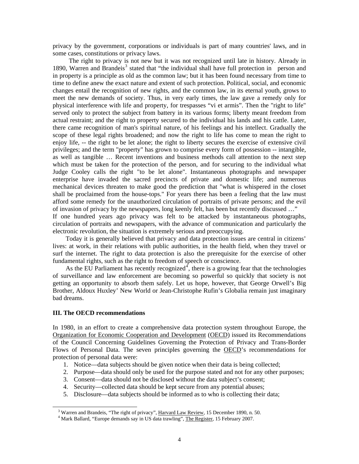[privacy](http://en.wikipedia.org/wiki/Invasion_of_privacy) by the [government,](http://en.wikipedia.org/wiki/Government) [corporations](http://en.wikipedia.org/wiki/Corporation) or [individuals](http://en.wikipedia.org/wiki/Individual) is part of many countries' [laws](http://en.wikipedia.org/wiki/Law), and in some cases, [constitutions](http://en.wikipedia.org/wiki/Constitution) or [privacy laws](http://en.wikipedia.org/wiki/Privacy#Privacy_laws#Privacy_laws).

 The right to privacy is not new but it was not recognized until late in history. Already in 1890, Warren and Brandeis<sup>[3](#page-3-0)</sup> stated that "the individual shall have full protection in person and in property is a principle as old as the common law; but it has been found necessary from time to time to define anew the exact nature and extent of such protection. Political, social, and economic changes entail the recognition of new rights, and the common law, in its eternal youth, grows to meet the new demands of society. Thus, in very early times, the law gave a remedy only for physical interference with life and property, for trespasses "vi et armis". Then the "right to life" served only to protect the subject from battery in its various forms; liberty meant freedom from actual restraint; and the right to property secured to the individual his lands and his cattle. Later, there came recognition of man's spiritual nature, of his feelings and his intellect. Gradually the scope of these legal rights broadened; and now the right to life has come to mean the right to enjoy life, -- the right to be let alone; the right to liberty secures the exercise of extensive civil privileges; and the term "property" has grown to comprise every form of possession -- intangible, as well as tangible … Recent inventions and business methods call attention to the next step which must be taken for the protection of the person, and for securing to the individual what Judge Cooley calls the right "to be let alone". Instantaneous photographs and newspaper enterprise have invaded the sacred precincts of private and domestic life; and numerous mechanical devices threaten to make good the prediction that "what is whispered in the closet shall be proclaimed from the house-tops." For years there has been a feeling that the law must afford some remedy for the unauthorized circulation of portraits of private persons; and the evil of invasion of privacy by the newspapers, long keenly felt, has been but recently discussed …" If one hundred years ago privacy was felt to be attacked by instantaneous photographs,

circulation of portraits and newspapers, with the advance of communication and particularly the electronic revolution, the situation is extremely serious and preoccupying.

 Today it is generally believed that privacy and data protection issues are central in citizens' lives: at work, in their relations with public authorities, in the health field, when they travel or surf the internet. The right to data protection is also the prerequisite for the exercise of other fundamental rights, such as the right to freedom of speech or conscience.

As the EU Parliament has recently recognized<sup>[4](#page-3-1)</sup>, there is a growing fear that the technologies of surveillance and law enforcement are becoming so powerful so quickly that society is not getting an opportunity to absorb them safely. Let us hope, however, that George Orwell's Big Brother, Aldoux Huxley' New World or Jean-Christophe Rufin's Globalia remain just imaginary bad dreams.

### **III. The OECD recommendations**

 $\overline{a}$ 

In 1980, in an effort to create a comprehensive data protection system throughout Europe, the [Organization for Economic Cooperation and Development](http://en.wikipedia.org/wiki/Organization_for_Economic_Cooperation_and_Development) [\(OECD](http://en.wikipedia.org/wiki/OECD)) issued its Recommendations of the Council Concerning Guidelines Governing the Protection of Privacy and Trans-Border Flows of Personal Data. The seven principles governing the [OECD'](http://en.wikipedia.org/wiki/OECD)s recommendations for protection of personal data were:

- 1. Notice—data subjects should be given notice when their data is being collected;
- 2. Purpose—data should only be used for the purpose stated and not for any other purposes;
- 3. Consent—data should not be disclosed without the data subject's consent;
- 4. Security—collected data should be kept secure from any potential abuses;
- 5. Disclosure—data subjects should be informed as to who is collecting their data;

<span id="page-3-0"></span><sup>&</sup>lt;sup>3</sup> Warren and Brandeis, "The right of privacy", Harvard Law Review, 15 December 1890, n. 50.

<span id="page-3-1"></span><sup>&</sup>lt;sup>4</sup> Mark Ballard, "Europe demands say in US data trawling", The Register, 15 February 2007.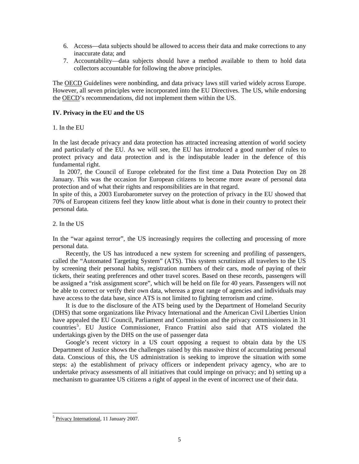- 6. Access—data subjects should be allowed to access their data and make corrections to any inaccurate data; and
- 7. Accountability—data subjects should have a method available to them to hold data collectors accountable for following the above principles.

The [OECD](http://en.wikipedia.org/wiki/OECD) Guidelines were nonbinding, and data privacy laws still varied widely across Europe. However, all seven principles were incorporated into the EU Directives. The US, while endorsing the [OECD](http://en.wikipedia.org/wiki/OECD)'s recommendations, did not implement them within the US.

## **IV. Privacy in the EU and the US**

1. In the EU

In the last decade privacy and data protection has attracted increasing attention of world society and particularly of the EU. As we will see, the EU has introduced a good number of rules to protect privacy and data protection and is the indisputable leader in the defence of this fundamental right.

 In 2007, the Council of Europe celebrated for the first time a Data Protection Day on 28 January. This was the occasion for European citizens to become more aware of personal data protection and of what their rights and responsibilities are in that regard.

In spite of this, a 2003 Eurobarometer survey on the protection of privacy in the EU showed that 70% of European citizens feel they know little about what is done in their country to protect their personal data.

## 2. In the US

In the "war against terror", the US increasingly requires the collecting and processing of more personal data.

 Recently, the US has introduced a new system for screening and profiling of passengers, called the "Automated Targeting System" (ATS). This system scrutinizes all travelers to the US by screening their personal habits, registration numbers of their cars, mode of paying of their tickets, their seating preferences and other travel scores. Based on these records, passengers will be assigned a "risk assignment score", which will be held on file for 40 years. Passengers will not be able to correct or verify their own data, whereas a great range of agencies and individuals may have access to the data base, since ATS is not limited to fighting terrorism and crime.

 It is due to the disclosure of the ATS being used by the Department of Homeland Security (DHS) that some organizations like Privacy International and the American Civil Liberties Union have appealed the EU Council, Parliament and Commission and the privacy commissioners in 31 countries<sup>[5](#page-4-0)</sup>. EU Justice Commissioner, Franco Frattini also said that ATS violated the undertakings given by the DHS on the use of passenger data

 Google's recent victory in a US court opposing a request to obtain data by the US Department of Justice shows the challenges raised by this massive thirst of accumulating personal data. Conscious of this, the US administration is seeking to improve the situation with some steps: a) the establishment of privacy officers or independent privacy agency, who are to undertake privacy assessments of all initiatives that could impinge on privacy; and b) setting up a mechanism to guarantee US citizens a right of appeal in the event of incorrect use of their data.

 $\overline{\phantom{a}}$ 

<span id="page-4-0"></span><sup>&</sup>lt;sup>5</sup> Privacy International, 11 January 2007.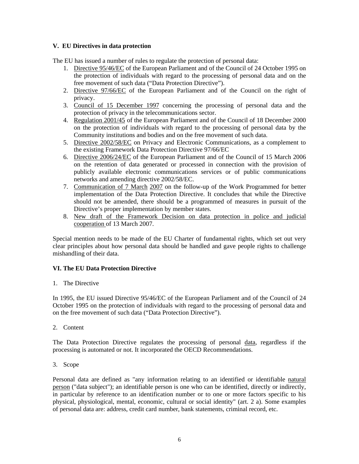# **V. EU Directives in data protection**

The EU has issued a number of rules to regulate the protection of personal data:

- 1. Directive 95/46/EC of the European Parliament and of the Council of 24 October 1995 on the protection of individuals with regard to the processing of personal data and on the free movement of such data ("Data Protection Directive").
- 2. Directive 97/66/EC of the European Parliament and of the Council on the right of privacy.
- 3. Council of 15 December 1997 concerning the processing of personal data and the protection of privacy in the telecommunications sector.
- 4. Regulation 2001/45 of the European Parliament and of the Council of 18 December 2000 on the protection of individuals with regard to the processing of personal data by the Community institutions and bodies and on the free movement of such data.
- 5. Directive 2002/58/EC on Privacy and Electronic Communications, as a complement to the existing Framework Data Protection Directive 97/66/EC
- 6. Directive 2006/24/EC of the European Parliament and of the Council of 15 March 2006 on the retention of data generated or processed in connection with the provision of publicly available electronic communications services or of public communications networks and amending directive 2002/58/EC.
- 7. Communication of 7 March 2007 on the follow-up of the Work Programmed for better implementation of the Data Protection Directive. It concludes that while the Directive should not be amended, there should be a programmed of measures in pursuit of the Directive's proper implementation by member states.
- 8. New draft of the Framework Decision on data protection in police and judicial cooperation of 13 March 2007.

Special mention needs to be made of the EU Charter of fundamental rights, which set out very clear principles about how personal data should be handled and gave people rights to challenge mishandling of their data.

# **VI. The EU Data Protection Directive**

1. The Directive

In 1995, the EU issued Directive 95/46/EC of the European Parliament and of the Council of 24 October 1995 on the protection of individuals with regard to the processing of personal data and on the free movement of such data ("Data Protection Directive").

2. Content

The Data Protection Directive regulates the processing of personal [data,](http://en.wikipedia.org/wiki/Data) regardless if the processing is automated or not. It incorporated the OECD Recommendations.

3. Scope

Personal data are defined as "any information relating to an identified or identifiable [natural](http://en.wikipedia.org/wiki/Natural_person)  [person](http://en.wikipedia.org/wiki/Natural_person) ("data subject"); an identifiable person is one who can be identified, directly or indirectly, in particular by reference to an identification number or to one or more factors specific to his physical, physiological, mental, economic, cultural or social identity" (art. 2 a). Some examples of personal data are: address, credit card number, bank statements, criminal record, etc.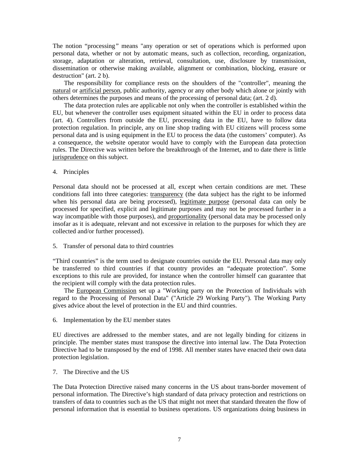The notion "processing*"* means "any operation or set of operations which is performed upon personal data, whether or not by automatic means, such as collection, recording, organization, storage, adaptation or alteration, retrieval, consultation, use, disclosure by transmission, dissemination or otherwise making available, alignment or combination, blocking, erasure or destruction" (art. 2 b).

 The responsibility for compliance rests on the shoulders of the "controller", meaning the [natural](http://en.wikipedia.org/wiki/Natural_person) or [artificial person](http://en.wikipedia.org/wiki/Legal_entity), public authority, agency or any other body which alone or jointly with others determines the purposes and means of the processing of personal data; (art. 2 d).

 The data protection rules are applicable not only when the controller is established within the EU, but whenever the controller uses equipment situated within the EU in order to process data (art. 4). Controllers from outside the EU, processing data in the EU, have to follow data protection regulation. In principle, any on line shop trading with EU citizens will process some personal data and is using equipment in the EU to process the data (the customers' computer). As a consequence, the website operator would have to comply with the European data protection rules. The Directive was written before the breakthrough of the Internet, and to date there is little [jurisprudence](http://en.wikipedia.org/wiki/Jurisprudence) on this subject.

4. Principles

Personal data should not be processed at all, except when certain conditions are met. These conditions fall into three categories: transparency (the data subject has the right to be informed when his personal data are being processed), legitimate purpose (personal data can only be processed for specified, explicit and legitimate purposes and may not be processed further in a way incompatible with those purposes), and proportionality (personal data may be processed only insofar as it is adequate, relevant and not excessive in relation to the purposes for which they are collected and/or further processed).

5. Transfer of personal data to third countries

"Third countries" is the term used to designate countries outside the EU. Personal data may only be transferred to third countries if that country provides an "adequate protection". Some exceptions to this rule are provided, for instance when the controller himself can guarantee that the recipient will comply with the data protection rules.

 The [European Commission](http://en.wikipedia.org/wiki/European_Commission) set up a "Working party on the Protection of Individuals with regard to the Processing of Personal Data" ("Article 29 Working Party"). The Working Party gives advice about the level of protection in the EU and third countries.

6. Implementation by the EU member states

EU directives are addressed to the member states, and are not legally binding for citizens in principle. The member states must transpose the directive into internal law. The Data Protection Directive had to be transposed by the end of 1998. All member states have enacted their own data protection legislation.

7. The Directive and the US

The Data Protection Directive raised many concerns in the US about trans-border movement of personal information. The Directive's high standard of data privacy protection and restrictions on transfers of data to countries such as the US that might not meet that standard threaten the flow of personal information that is essential to business operations. US organizations doing business in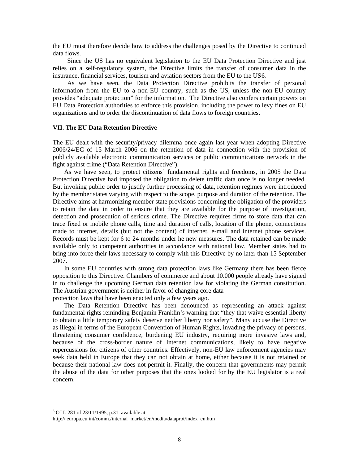the EU must therefore decide how to address the challenges posed by the Directive to continued data flows.

 Since the US has no equivalent legislation to the EU Data Protection Directive and just relies on a self-regulatory system, the Directive limits the transfer of consumer data in the insurance, financial services, tourism and aviation sectors from the EU to the US[6](#page-7-0).

 As we have seen, the Data Protection Directive prohibits the transfer of personal information from the EU to a non-EU country, such as the US, unless the non-EU country provides "adequate protection" for the information. The Directive also confers certain powers on EU Data Protection authorities to enforce this provision, including the power to levy fines on EU organizations and to order the discontinuation of data flows to foreign countries.

#### **VII. The EU Data Retention Directive**

The EU dealt with the security/privacy dilemma once again last year when adopting Directive 2006/24/EC of 15 March 2006 on the retention of data in connection with the provision of publicly available electronic communication services or public communications network in the fight against crime ("Data Retention Directive").

 As we have seen, to protect citizens' fundamental rights and freedoms, in 2005 the Data Protection Directive had imposed the obligation to delete traffic data once is no longer needed. But invoking public order to justify further processing of data, retention regimes were introduced by the member states varying with respect to the scope, purpose and duration of the retention. The Directive aims at harmonizing member state provisions concerning the obligation of the providers to retain the data in order to ensure that they are available for the purpose of investigation, detection and prosecution of serious crime. The Directive requires firms to store data that can trace fixed or mobile phone calls, time and duration of calls, location of the phone, connections made to internet, details (but not the content) of internet, e-mail and internet phone services. Records must be kept for 6 to 24 months under he new measures. The data retained can be made available only to competent authorities in accordance with national law. Member states had to bring into force their laws necessary to comply with this Directive by no later than 15 September 2007.

 In some EU countries with strong data protection laws like Germany there has been fierce opposition to this Directive. Chambers of commerce and about 10.000 people already have signed in to challenge the upcoming German data retention law for violating the German constitution. The Austrian government is neither in favor of changing core data

protection laws that have been enacted only a few years ago.

 The Data Retention Directive has been denounced as representing an attack against fundamental rights reminding Benjamin Franklin's warning that "they that waive essential liberty to obtain a little temporary safety deserve neither liberty nor safety". Many accuse the Directive as illegal in terms of the European Convention of Human Rights, invading the privacy of persons, threatening consumer confidence, burdening EU industry, requiring more invasive laws and, because of the cross-border nature of Internet communications, likely to have negative repercussions for citizens of other countries. Effectively, non-EU law enforcement agencies may seek data held in Europe that they can not obtain at home, either because it is not retained or because their national law does not permit it. Finally, the concern that governments may permit the abuse of the data for other purposes that the ones looked for by the EU legislator is a real concern.

<span id="page-7-0"></span> 6 OJ L 281 of 23/11/1995, p.31. available at

http:// europa.eu.int/comm./internal\_market/en/media/dataprot/index\_en.htm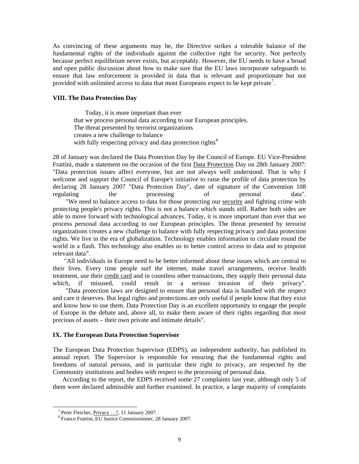As convincing of these arguments may be, the Directive strikes a tolerable balance of the fundamental rights of the individuals against the collective right for security. Not perfectly because perfect equilibrium never exists, but acceptably. However, the EU needs to have a broad and open public discussion about how to make sure that the EU laws incorporate safeguards to ensure that law enforcement is provided in data that is relevant and proportionate but not provided with unlimited access to data that most Europeans expect to be kept private<sup>[7](#page-8-0)</sup>.

#### **VIII. The Data Protection Day**

 Today, it is more important than ever that we process personal data according to our European principles. The threat presented by terrorist organizations creates a new challenge to balance with fully respecting privacy and data protection rights<sup>[8](#page-8-1)</sup>

28 of January was declared the Data Protection Day by the Council of Europe. EU Vice-President Frattini, made a statement on the occasion of the first [Data Protection](http://www.publictechnology.net/modules.php?op=modload&name=News&file=article&sid=7551) Day on 28th January 2007: "Data protection issues affect everyone, but are not always well understood. That is why I welcome and support the Council of Europe's initiative to raise the profile of data protection by declaring 28 January 2007 "Data Protection Day", date of signature of the Convention 108 regulating the processing of personal data". "We need to balance access to data for those protecting our [security](http://www.publictechnology.net/modules.php?op=modload&name=News&file=article&sid=7551) and fighting crime with protecting people's privacy rights. This is not a balance which stands still. Rather both sides are able to move forward with technological advances. Today, it is more important than ever that we process personal data according to our European principles. The threat presented by terrorist organizations creates a new challenge to balance with fully respecting privacy and data protection rights. We live in the era of globalization. Technology enables information to circulate round the world in a flash. This technology also enables us to better control access to data and to pinpoint relevant data".

 "All individuals in Europe need to be better informed about these issues which are central to their lives. Every time people surf the internet, make travel arrangements, receive health treatment, use their [credit card](http://www.publictechnology.net/modules.php?op=modload&name=News&file=article&sid=7551) and in countless other transactions, they supply their personal data which, if misused, could result in a serious invasion of their privacy".

 "Data protection laws are designed to ensure that personal data is handled with the respect and care it deserves. But legal rights and protections are only useful if people know that they exist and know how to use them. Data Protection Day is an excellent opportunity to engage the people of Europe in the debate and, above all, to make them aware of their rights regarding that most precious of assets – their own private and intimate details".

#### **IX. The European Data Protection Supervisor**

The European Data Protection Supervisor (EDPS), an independent authority, has published its annual report. The Supervisor is responsible for ensuring that the fundamental rights and freedoms of natural persons, and in particular their right to privacy, are respected by the Community institutions and bodies with respect to the processing of personal data.

 According to the report, the EDPS received some 27 complaints last year, although only 5 of them were declared admissible and further examined. In practice, a large majority of complaints

 $\overline{a}$ 

<span id="page-8-0"></span><sup>7</sup> Peter Fleicher, Privacy …?, 11 January 2007.

<span id="page-8-1"></span><sup>8</sup> Franco Frattini, EU Justice Commissionner, 28 January 2007.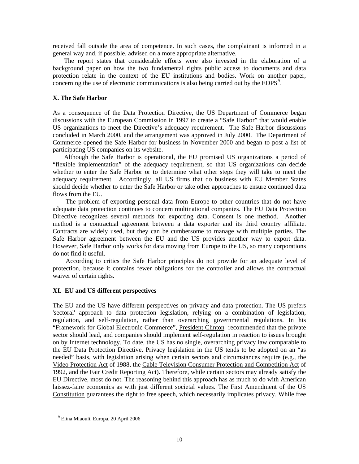received fall outside the area of competence. In such cases, the complainant is informed in a general way and, if possible, advised on a more appropriate alternative.

 The report states that considerable efforts were also invested in the elaboration of a background paper on how the two fundamental rights public access to documents and data protection relate in the context of the EU institutions and bodies. Work on another paper, concerning the use of electronic communications is also being carried out by the  $EDPS<sup>9</sup>$  $EDPS<sup>9</sup>$  $EDPS<sup>9</sup>$ .

## **X. The Safe Harbor**

As a consequence of the Data Protection Directive, the US Department of Commerce began discussions with the European Commission in 1997 to create a "Safe Harbor" that would enable US organizations to meet the Directive's adequacy requirement. The Safe Harbor discussions concluded in March 2000, and the arrangement was approved in July 2000. The Department of Commerce opened the Safe Harbor for business in November 2000 and began to post a list of participating US companies on its website.

 Although the Safe Harbor is operational, the EU promised US organizations a period of "flexible implementation" of the adequacy requirement, so that US organizations can decide whether to enter the Safe Harbor or to determine what other steps they will take to meet the adequacy requirement. Accordingly, all US firms that do business with EU Member States should decide whether to enter the Safe Harbor or take other approaches to ensure continued data flows from the EU.

 The problem of exporting personal data from Europe to other countries that do not have adequate data protection continues to concern multinational companies. The EU Data Protection Directive recognizes several methods for exporting data. Consent is one method. Another method is a contractual agreement between a data exporter and its third country affiliate. Contracts are widely used, but they can be cumbersome to manage with multiple parties. The Safe Harbor agreement between the EU and the US provides another way to export data. However, Safe Harbor only works for data moving from Europe to the US, so many corporations do not find it useful.

 According to critics the Safe Harbor principles do not provide for an adequate level of protection, because it contains fewer obligations for the controller and allows the contractual waiver of certain rights.

# **XI. EU and US different perspectives**

The EU and the US have different perspectives on privacy and data protection. The US prefers 'sectoral' approach to data protection legislation, relying on a combination of legislation, regulation, and self-regulation, rather than overarching governmental regulations. In his "Framework for Global Electronic Commerce", [President Clinton](http://en.wikipedia.org/wiki/President_Clinton) recommended that the private sector should lead, and companies should implement self-regulation in reaction to issues brought on by Internet technology. To date, the US has no single, overarching privacy law comparable to the EU Data Protection Directive. Privacy legislation in the US tends to be adopted on an "as needed" basis, with legislation arising when certain sectors and circumstances require (e.g., the [Video Protection Act](http://en.wikipedia.org/w/index.php?title=Video_Protection_Act&action=edit) of 1988, the [Cable Television Consumer Protection and Competition Act](http://en.wikipedia.org/w/index.php?title=Cable_Television_Consumer_Protection_and_Competition_Act&action=edit) of 1992, and the [Fair Credit Reporting Act](http://en.wikipedia.org/wiki/Fair_Credit_Reporting_Act)). Therefore, while certain sectors may already satisfy the EU Directive, most do not. The reasoning behind this approach has as much to do with American [laissez-faire economics](http://en.wikipedia.org/wiki/Laissez-faire_economics) as with just different societal values. The [First Amendment](http://en.wikipedia.org/wiki/First_Amendment) of the [US](http://en.wikipedia.org/wiki/United_States_Constitution)  [Constitution](http://en.wikipedia.org/wiki/United_States_Constitution) guarantees the right to free speech, which necessarily implicates privacy. While free

 $\overline{\phantom{a}}$ 

<span id="page-9-0"></span><sup>&</sup>lt;sup>9</sup> Elina Miaouli, Europa, 20 April 2006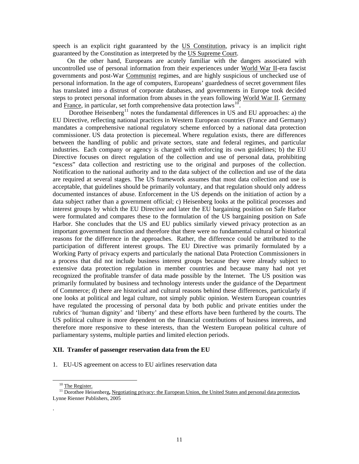speech is an explicit right guaranteed by the [US Constitution,](http://en.wikipedia.org/wiki/US_Constitution) privacy is an implicit right guaranteed by the Constitution as interpreted by the [US Supreme Court](http://en.wikipedia.org/wiki/United_States_Supreme_Court).

 On the other hand, Europeans are acutely familiar with the dangers associated with uncontrolled use of personal information from their experiences under [World War II](http://en.wikipedia.org/wiki/World_War_II)-era fascist governments and post-War [Communist](http://en.wikipedia.org/wiki/Communist) regimes, and are highly suspicious of unchecked use of personal information. In the age of computers, Europeans' guardedness of secret government files has translated into a distrust of corporate databases, and governments in Europe took decided steps to protect personal information from abuses in the years following [World War II](http://en.wikipedia.org/wiki/World_War_II). [Germany](http://en.wikipedia.org/wiki/Germany) and [France,](http://en.wikipedia.org/wiki/France) in particular, set forth comprehensive data protection laws<sup>[10](#page-10-0)</sup>.

Dorothee Heisenberg<sup>[11](#page-10-1)</sup> notes the fundamental differences in US and EU approaches: a) the EU Directive, reflecting national practices in Western European countries (France and Germany) mandates a comprehensive national regulatory scheme enforced by a national data protection commissioner. US data protection is piecemeal. Where regulation exists, there are differences between the handling of public and private sectors, state and federal regimes, and particular industries. Each company or agency is charged with enforcing its own guidelines; b) the EU Directive focuses on direct regulation of the collection and use of personal data, prohibiting "excess" data collection and restricting use to the original and purposes of the collection. Notification to the national authority and to the data subject of the collection and use of the data are required at several stages. The US framework assumes that most data collection and use is acceptable, that guidelines should be primarily voluntary, and that regulation should only address documented instances of abuse. Enforcement in the US depends on the initiation of action by a data subject rather than a government official; c) Heisenberg looks at the political processes and interest groups by which the EU Directive and later the EU bargaining position on Safe Harbor were formulated and compares these to the formulation of the US bargaining position on Safe Harbor. She concludes that the US and EU publics similarly viewed privacy protection as an important government function and therefore that there were no fundamental cultural or historical reasons for the difference in the approaches. Rather, the difference could be attributed to the participation of different interest groups. The EU Directive was primarily formulated by a Working Party of privacy experts and particularly the national Data Protection Commissioners in a process that did not include business interest groups because they were already subject to extensive data protection regulation in member countries and because many had not yet recognized the profitable transfer of data made possible by the Internet. The US position was primarily formulated by business and technology interests under the guidance of the Department of Commerce; d) there are historical and cultural reasons behind these differences, particularly if one looks at political and legal culture, not simply public opinion. Western European countries have regulated the processing of personal data by both public and private entities under the rubrics of 'human dignity' and 'liberty' and these efforts have been furthered by the courts. The US political culture is more dependent on the financial contributions of business interests, and therefore more responsive to these interests, than the Western European political culture of parliamentary systems, multiple parties and limited election periods.

#### **XII. Transfer of passenger reservation data from the EU**

1. EU-US agreement on access to EU airlines reservation data

l

.

<sup>&</sup>lt;sup>10</sup> The Register.

<span id="page-10-1"></span><span id="page-10-0"></span>11 Dorothee Heisenberg**,** Negotiating privacy: the European Union, the United States and personal data protection**,**  Lynne Rienner Publishers, 2005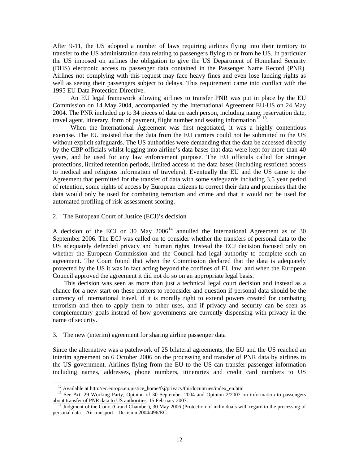After 9-11, the US adopted a number of laws requiring airlines flying into their territory to transfer to the US administration data relating to passengers flying to or from he US. In particular the US imposed on airlines the obligation to give the US Department of Homeland Security (DHS) electronic access to passenger data contained in the Passenger Name Record (PNR). Airlines not complying with this request may face heavy fines and even lose landing rights as well as seeing their passengers subject to delays. This requirement came into conflict with the 1995 EU Data Protection Directive.

 An EU legal framework allowing airlines to transfer PNR was put in place by the EU Commission on 14 May 2004, accompanied by the International Agreement EU-US on 24 May 2004. The PNR included up to 34 pieces of data on each person, including name, reservation date, travel agent, itinerary, form of payment, flight number and seating information<sup>[12](#page-11-0) [13](#page-11-1)</sup>.

 When the International Agreement was first negotiated, it was a highly contentious exercise. The EU insisted that the data from the EU carriers could not be submitted to the US without explicit safeguards. The US authorities were demanding that the data be accessed directly by the CBP officials whilst logging into airline's data bases that data were kept for more than 40 years, and be used for any law enforcement purpose. The EU officials called for stringer protections, limited retention periods, limited access to the data bases (including restricted access to medical and religious information of travelers). Eventually the EU and the US came to the Agreement that permitted for the transfer of data with some safeguards including 3.5 year period of retention, some rights of access by European citizens to correct their data and promises that the data would only be used for combating terrorism and crime and that it would not be used for automated profiling of risk-assessment scoring.

2. The European Court of Justice (ECJ)'s decision

A decision of the ECJ on 30 May  $2006<sup>14</sup>$  $2006<sup>14</sup>$  $2006<sup>14</sup>$  annulled the International Agreement as of 30 September 2006. The ECJ was called on to consider whether the transfers of personal data to the US adequately defended privacy and human rights. Instead the ECJ decision focused only on whether the European Commission and the Council had legal authority to complete such an agreement. The Court found that when the Commission declared that the data is adequately protected by the US it was in fact acting beyond the confines of EU law, and when the European Council approved the agreement it did not do so on an appropriate legal basis.

 This decision was seen as more than just a technical legal court decision and instead as a chance for a new start on these matters to reconsider and question if personal data should be the currency of international travel, if it is morally right to extend powers created for combating terrorism and then to apply them to other uses, and if privacy and security can be seen as complementary goals instead of how governments are currently dispensing with privacy in the name of security.

# 3. The new (interim) agreement for sharing airline passenger data

 $\overline{\phantom{a}}$ 

Since the alternative was a patchwork of 25 bilateral agreements, the EU and the US reached an interim agreement on 6 October 2006 on the processing and transfer of PNR data by airlines to the US government. Airlines flying from the EU to the US can transfer passenger information including names, addresses, phone numbers, itineraries and credit card numbers to US

<sup>&</sup>lt;sup>12</sup> Available at http://ec.europa.eu.justice\_home/fsj/privacy/thirdocuntries/index\_en.htm

<span id="page-11-1"></span><span id="page-11-0"></span><sup>&</sup>lt;sup>13</sup> See Art. 29 Working Party, Opinion of 30 September 2004 and Opinion 2/2007 on information to passengers about transfer of PNR data to US authorities, 15 February 2007.

<span id="page-11-2"></span>14 Judgment of the Court (Grand Chamber), 30 May 2006 (Protection of individuals with regard to the processing of personal data – Air transport – Decision 2004/496/EC.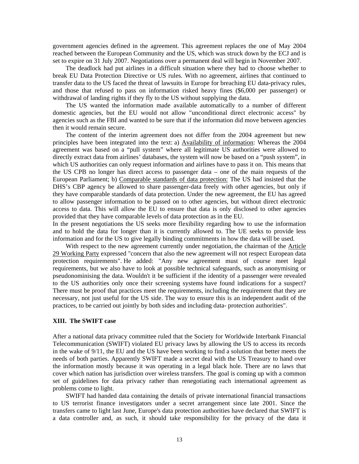government agencies defined in the agreement. This agreement replaces the one of May 2004 reached between the European Community and the US, which was struck down by the ECJ and is set to expire on 31 July 2007. Negotiations over a permanent deal will begin in November 2007.

 The deadlock had put airlines in a difficult situation where they had to choose whether to break EU Data Protection Directive or US rules. With no agreement, airlines that continued to transfer data to the US faced the threat of lawsuits in Europe for breaching EU data-privacy rules, and those that refused to pass on information risked heavy fines (\$6,000 per passenger) or withdrawal of landing rights if they fly to the US without supplying the data.

 The US wanted the information made available automatically to a number of different domestic agencies, but the EU would not allow "unconditional direct electronic access" by agencies such as the FBI and wanted to be sure that if the information did move between agencies then it would remain secure.

 The content of the interim agreement does not differ from the 2004 agreement but new principles have been integrated into the text: a) Availability of information: Whereas the 2004 agreement was based on a "pull system" where all legitimate US authorities were allowed to directly extract data from airlines' databases, the system will now be based on a "push system", in which US authorities can only request information and airlines have to pass it on. This means that the US CPB no longer has direct access to passenger data – one of the main requests of the European Parliament; b) Comparable standards of data protection: The US had insisted that the DHS's CBP agency be allowed to share passenger-data freely with other agencies, but only if they have comparable standards of data protection. Under the new agreement, the EU has agreed to allow passenger information to be passed on to other agencies, but without direct electronic access to data. This will allow the EU to ensure that data is only disclosed to other agencies provided that they have comparable levels of data protection as in the EU.

In the present negotiations the US seeks more flexibility regarding how to use the information and to hold the data for longer than it is currently allowed to. The UE seeks to provide less information and for the US to give legally binding commitments in how the data will be used.

 With respect to the new agreement currently under negotiation, the chairman of the [Article](http://ec.europa.eu/justice_home/fsj/privacy/workinggroup/index_en.htm)  [29 Working Party](http://ec.europa.eu/justice_home/fsj/privacy/workinggroup/index_en.htm) expressed "concern that also the new agreement will not respect European data protection requirements". He added: "Any new agreement must of course meet legal requirements, but we also have to look at possible technical safeguards, such as anonymising or pseudonominising the data. Wouldn't it be sufficient if the identity of a passenger were revealed to the US authorities only once their screening systems have found indications for a suspect? There must be proof that practices meet the requirements, including the requirement that they are necessary, not just useful for the US side. The way to ensure this is an independent audit of the practices, to be carried out jointly by both sides and including data- protection authorities".

#### **XIII. The SWIFT case**

After a national data privacy committee ruled that the Society for Worldwide Interbank Financial Telecommunication (SWIFT) violated EU privacy laws by allowing the US to access its records in the wake of 9/11, the EU and the US have been working to find a solution that better meets the needs of both parties. Apparently SWIFT made a secret deal with the US Treasury to hand over the information mostly because it was operating in a legal black hole. There are no laws that cover which nation has jurisdiction over wireless transfers. The goal is coming up with a common set of guidelines for data privacy rather than renegotiating each international agreement as problems come to light.

 SWIFT had handed data containing the details of private international financial transactions to US terrorist finance investigators under a secret arrangement since late 2001. Since the transfers came to light last June, Europe's data protection authorities have declared that SWIFT is a data controller and, as such, it should take responsibility for the privacy of the data it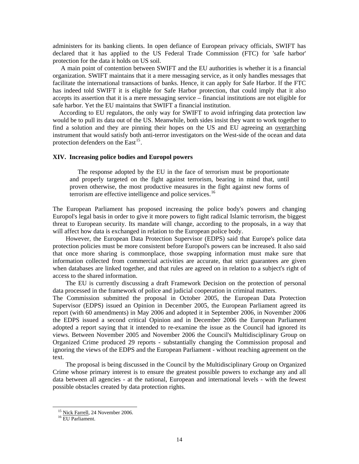administers for its banking clients. In open defiance of European privacy officials, SWIFT has declared that it has applied to the US Federal Trade Commission (FTC) for 'safe harbor' protection for the data it holds on US soil.

 A main point of contention between SWIFT and the EU authorities is whether it is a financial organization. SWIFT maintains that it a mere messaging service, as it only handles messages that facilitate the international transactions of banks. Hence, it can apply for Safe Harbor. If the FTC has indeed told SWIFT it is eligible for Safe Harbor protection, that could imply that it also accepts its assertion that it is a mere messaging service – financial institutions are not eligible for safe harbor. Yet the EU maintains that SWIFT a financial institution.

 According to EU regulators, the only way for SWIFT to avoid infringing data protection law would be to pull its data out of the US. Meanwhile, both sides insist they want to work together to find a solution and they are pinning their hopes on the US and EU agreeing an [overarching](http://www.theregister.co.uk/2007/02/15/eu_grabon_us/) instrument that would satisfy both anti-terror investigators on the West-side of the ocean and data protection defenders on the East $^{15}$  $^{15}$  $^{15}$ .

#### **XIV. Increasing police bodies and Europol powers**

 The response adopted by the EU in the face of terrorism must be proportionate and properly targeted on the fight against terrorism, bearing in mind that, until proven otherwise, the most productive measures in the fight against new forms of terrorism are effective intelligence and police services.<sup>[16](#page-13-1)</sup>

The European Parliament has proposed increasing the police body's powers and changing Europol's legal basis in order to give it more powers to fight radical Islamic terrorism, the biggest threat to European security. Its mandate will change, according to the proposals, in a way that will affect how data is exchanged in relation to the European police body.

 However, the European Data Protection Supervisor (EDPS) said that Europe's police data protection policies must be more consistent before Europol's powers can be increased. It also said that once more sharing is commonplace, those swapping information must make sure that information collected from commercial activities are accurate, that strict guarantees are given when databases are linked together, and that rules are agreed on in relation to a subject's right of access to the shared information.

 The EU is currently discussing a draft Framework Decision on the protection of personal data processed in the framework of police and judicial cooperation in criminal matters.

The Commission submitted the proposal in October 2005, the European Data Protection Supervisor (EDPS) issued an Opinion in December 2005, the European Parliament agreed its report (with 60 amendments) in May 2006 and adopted it in September 2006, in November 2006 the EDPS issued a second critical Opinion and in December 2006 the European Parliament adopted a report saying that it intended to re-examine the issue as the Council had ignored its views. Between November 2005 and November 2006 the Council's Multidisciplinary Group on Organized Crime produced 29 reports - substantially changing the Commission proposal and ignoring the views of the EDPS and the European Parliament - without reaching agreement on the text.

 The proposal is being discussed in the Council by the Multidisciplinary Group on Organized Crime whose primary interest is to ensure the greatest possible powers to exchange any and all data between all agencies - at the national, European and international levels - with the fewest possible obstacles created by data protection rights.

<span id="page-13-1"></span><span id="page-13-0"></span> $\overline{a}$ 

<sup>&</sup>lt;sup>15</sup> Nick Farrell, 24 November 2006.

16 EU Parliament.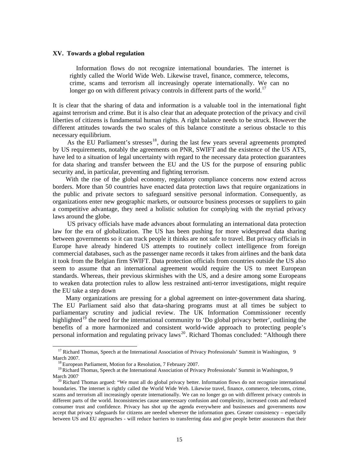#### **XV. Towards a global regulation**

 Information flows do not recognize international boundaries. The internet is rightly called the World Wide Web. Likewise travel, finance, commerce, telecoms, crime, scams and terrorism all increasingly operate internationally. We can no longer go on with different privacy controls in different parts of the world.<sup>[17](#page-14-0)</sup>

It is clear that the sharing of data and information is a valuable tool in the international fight against terrorism and crime. But it is also clear that an adequate protection of the privacy and civil liberties of citizens is fundamental human rights. A right balance needs to be struck. However the different attitudes towards the two scales of this balance constitute a serious obstacle to this necessary equilibrium.

As the EU Parliament's stresses<sup>[18](#page-14-1)</sup>, during the last few years several agreements prompted by US requirements, notably the agreements on PNR, SWIFT and the existence of the US ATS, have led to a situation of legal uncertainty with regard to the necessary data protection guarantees for data sharing and transfer between the EU and the US for the purpose of ensuring public security and, in particular, preventing and fighting terrorism.

 With the rise of the global economy, regulatory compliance concerns now extend across borders. More than 50 countries have enacted data protection laws that require organizations in the public and private sectors to safeguard sensitive personal information. Consequently, as organizations enter new geographic markets, or outsource business processes or suppliers to gain a competitive advantage, they need a holistic solution for complying with the myriad privacy laws around the globe.

 US privacy officials have made advances about formulating an international data protection law for the era of globalization. The US has been pushing for more widespread data sharing between governments so it can track people it thinks are not safe to travel. But privacy officials in Europe have already hindered US attempts to routinely collect intelligence from foreign commercial databases, such as the passenger name records it takes from airlines and the bank data it took from the Belgian firm SWIFT. Data protection officials from countries outside the US also seem to assume that an international agreement would require the US to meet European standards. Whereas, their previous skirmishes with the US, and a desire among some Europeans to weaken data protection rules to allow less restrained anti-terror investigations, might require the EU take a step down

 Many organizations are pressing for a global agreement on inter-government data sharing. The EU Parliament said also that data-sharing programs must at all times be subject to parliamentary scrutiny and judicial review. The UK Information Commissioner recently highlighted<sup>[19](#page-14-2)</sup> the need for the international community to 'Do global privacy better', outlining the benefits of a more harmonized and consistent world-wide approach to protecting people's personal information and regulating privacy laws<sup>[20](#page-14-3)</sup>. Richard Thomas concluded: "Although there

 $\overline{a}$ 

<span id="page-14-0"></span><sup>&</sup>lt;sup>17</sup> Richard Thomas, Speech at the International Association of Privacy Professionals' Summit in Washington, 9 March 2007.

<sup>&</sup>lt;sup>18</sup> European Parliament, Motion for a Resolution, 7 February 2007.

<span id="page-14-2"></span><span id="page-14-1"></span><sup>&</sup>lt;sup>19</sup> Richard Thomas, Speech at the International Association of Privacy Professionals' Summit in Washington, 9 March 2007<sup>.</sup>

<span id="page-14-3"></span><sup>&</sup>lt;sup>20</sup> Richard Thomas argued: "We must all do global privacy better. Information flows do not recognize international boundaries. The internet is rightly called the World Wide Web. Likewise travel, finance, commerce, telecoms, crime, scams and terrorism all increasingly operate internationally. We can no longer go on with different privacy controls in different parts of the world. Inconsistencies cause unnecessary confusion and complexity, increased costs and reduced consumer trust and confidence. Privacy has shot up the agenda everywhere and businesses and governments now accept that privacy safeguards for citizens are needed wherever the information goes. Greater consistency – especially between US and EU approaches - will reduce barriers to transferring data and give people better assurances that their